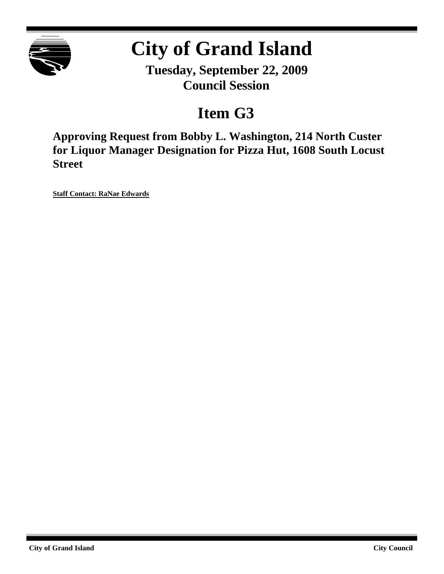

# **City of Grand Island**

**Tuesday, September 22, 2009 Council Session**

## **Item G3**

**Approving Request from Bobby L. Washington, 214 North Custer for Liquor Manager Designation for Pizza Hut, 1608 South Locust Street**

**Staff Contact: RaNae Edwards**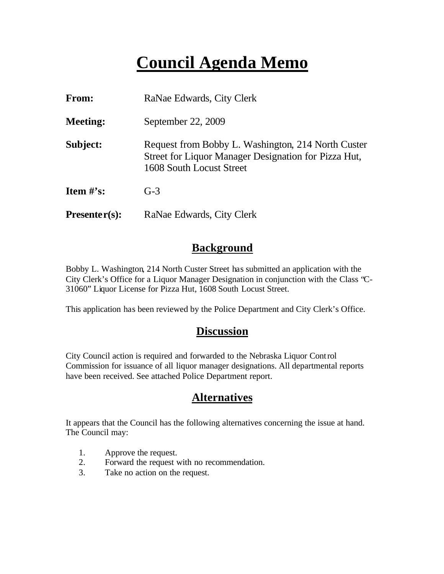## **Council Agenda Memo**

| From:           | RaNae Edwards, City Clerk                                                                                                              |  |  |  |  |
|-----------------|----------------------------------------------------------------------------------------------------------------------------------------|--|--|--|--|
| <b>Meeting:</b> | September 22, 2009                                                                                                                     |  |  |  |  |
| Subject:        | Request from Bobby L. Washington, 214 North Custer<br>Street for Liquor Manager Designation for Pizza Hut,<br>1608 South Locust Street |  |  |  |  |
| Item $\#$ 's:   | $G-3$                                                                                                                                  |  |  |  |  |
| $Presenter(s):$ | RaNae Edwards, City Clerk                                                                                                              |  |  |  |  |

### **Background**

Bobby L. Washington, 214 North Custer Street has submitted an application with the City Clerk's Office for a Liquor Manager Designation in conjunction with the Class "C-31060" Liquor License for Pizza Hut, 1608 South Locust Street.

This application has been reviewed by the Police Department and City Clerk's Office.

## **Discussion**

City Council action is required and forwarded to the Nebraska Liquor Control Commission for issuance of all liquor manager designations. All departmental reports have been received. See attached Police Department report.

### **Alternatives**

It appears that the Council has the following alternatives concerning the issue at hand. The Council may:

- 1. Approve the request.
- 2. Forward the request with no recommendation.
- 3. Take no action on the request.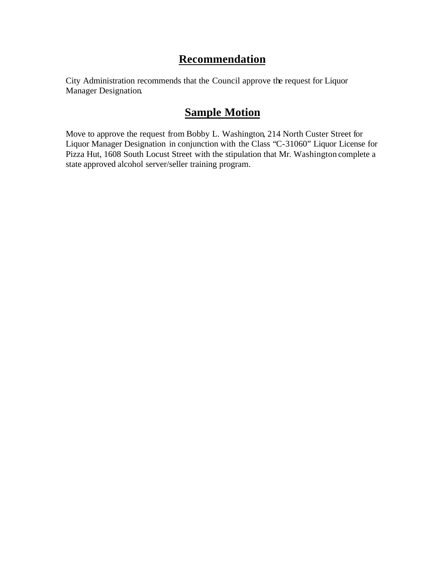## **Recommendation**

City Administration recommends that the Council approve the request for Liquor Manager Designation.

## **Sample Motion**

Move to approve the request from Bobby L. Washington, 214 North Custer Street for Liquor Manager Designation in conjunction with the Class "C-31060" Liquor License for Pizza Hut, 1608 South Locust Street with the stipulation that Mr. Washington complete a state approved alcohol server/seller training program.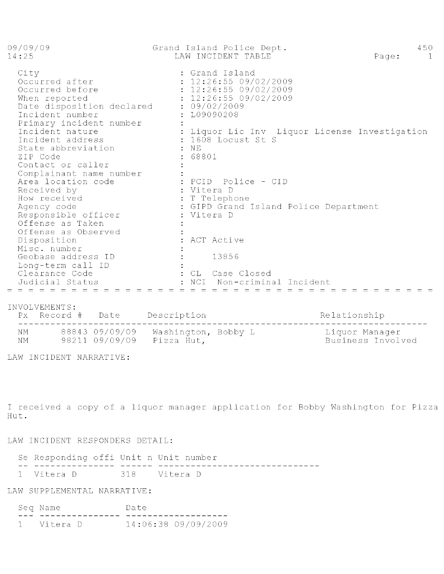| 09/09/09<br>14:25                                                                                                                                                                                                                                | Grand Island Police Dept.<br>LAW INCIDENT TABLE                                                                                                                                                        | 450<br>Page:<br>$\overline{1}$ |
|--------------------------------------------------------------------------------------------------------------------------------------------------------------------------------------------------------------------------------------------------|--------------------------------------------------------------------------------------------------------------------------------------------------------------------------------------------------------|--------------------------------|
| City<br>Occurred after<br>Occurred before<br>When reported<br>Date disposition declared : 09/02/2009<br>Incident number<br>Primary incident number<br>Incident nature<br>Incident address<br>State abbreviation<br>ZIP Code<br>Contact or caller | : Grand Island<br>: 12:26:55 09/02/2009<br>: 12:26:55 09/02/2009<br>: 12:26:55 09/02/2009<br>: L09090208<br>: Liquor Lic Inv Liquor License Investigation<br>$: 1608$ Locust St S<br>$:$ NE<br>: 68801 |                                |
| Complainant name number<br>Area location code<br>Received by<br>How received<br>Agency code<br>Responsible officer<br>Offense as Taken<br>Offense as Observed<br>Disposition<br>Misc. number<br>Geobase address ID                               | : PCID Police - CID<br>: Vitera D<br>: T Telephone<br>: GIPD Grand Island Police Department<br>: Vitera D<br>: ACT Active<br>13856                                                                     |                                |
| Long-term call ID<br>Clearance Code<br>Judicial Status                                                                                                                                                                                           | : CL Case Closed<br>Non-criminal Incident<br>NCI                                                                                                                                                       |                                |

#### INVOLVEMENTS:

NM 88843 09/09/09 Washington, Bobby L<br>NM 98211 09/09/09 Pizza Hut, Liquor Manager<br>Business Involved

LAW INCIDENT NARRATIVE:

I received a copy of a liquor manager application for Bobby Washington for Pizza Hut.

#### LAW INCIDENT RESPONDERS DETAIL:

|     | Se Responding offi Unit n Unit number |  |  |  |
|-----|---------------------------------------|--|--|--|
| ___ |                                       |  |  |  |
|     |                                       |  |  |  |

#### LAW SUPPLEMENTAL NARRATIVE:

| Seq Name     | Date |                     |  |
|--------------|------|---------------------|--|
|              |      |                     |  |
| 1 - Vitera D |      | 14:06:38 09/09/2009 |  |